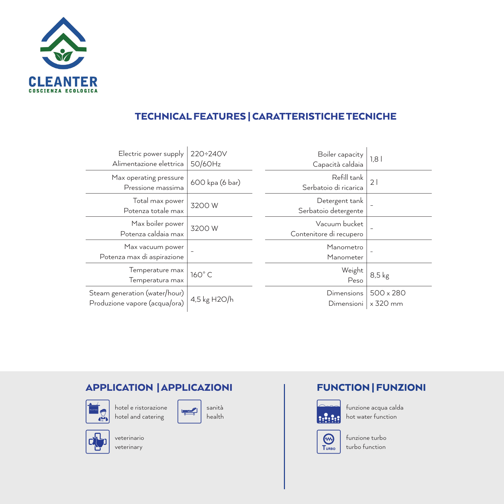

## TECHNICAL FEATURES | CARATTERISTICHE TECNICHE

| Electric power supply<br>Alimentazione elettrica               | 220÷240V<br>50/60Hz | Boiler capacity<br>Capacità caldaia      | 1,8                   |
|----------------------------------------------------------------|---------------------|------------------------------------------|-----------------------|
| Max operating pressure<br>Pressione massima                    | 600 kpa (6 bar)     | Refill tank<br>Serbatoio di ricarica     | 21                    |
| Total max power<br>Potenza totale max                          | 3200W               | Detergent tank<br>Serbatoio detergente   |                       |
| Max boiler power<br>Potenza caldaia max                        | 3200W               | Vacuum bucket<br>Contenitore di recupero |                       |
| Max vacuum power<br>Potenza max di aspirazione                 |                     | Manometro<br>Manometer                   |                       |
| Temperature max<br>Temperatura max                             | 160°C               | Weight<br>Peso                           | $8,5$ kg              |
| Steam generation (water/hour)<br>Produzione vapore (acqua/ora) | 4,5 kg H2O/h        | Dimensions<br>Dimensioni                 | 500 x 280<br>x 320 mm |

## APPLICATION | APPLICAZIONI



hotel e ristorazione hotel and catering





veterinario veterinary





funzione acqua calda **Hotal** hot water function



funzione turbo turbo function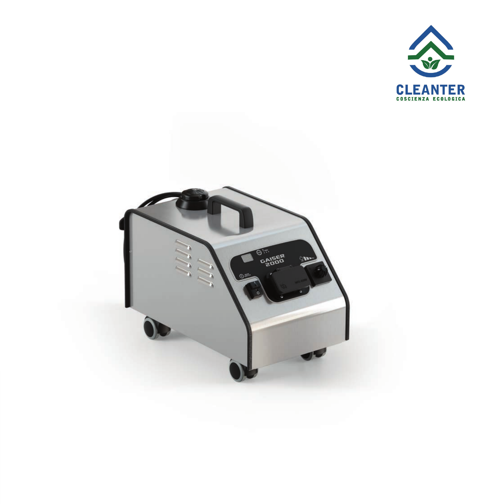

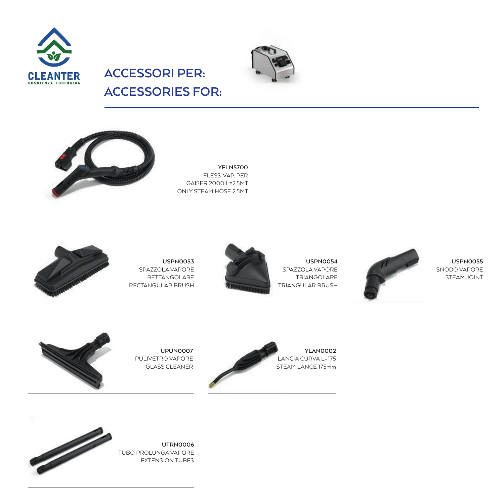



**ACCESSORIES FOR:**

**ACCESSORI PER:**



**YFLN5700** FLESS. VAP. PER GAISER 2000 L=2,5MT ONLY STEAM HOSE 2,5MT



**USPN0053** SPAZZOLA VAPORE RETTANGOLARE RECTANGULAR BRUSH

**UPUN0007**  PULIVETRO VAPORE GLASS CLEANER





**USPN0054** SPAZZOLA VAPORE TRIANGOLARE

**USPN0055** SNODO VAPORE STEAM JOINT





**UTRN0006** TUBO PROLUNGA VAPORE EXTENSION TUBES